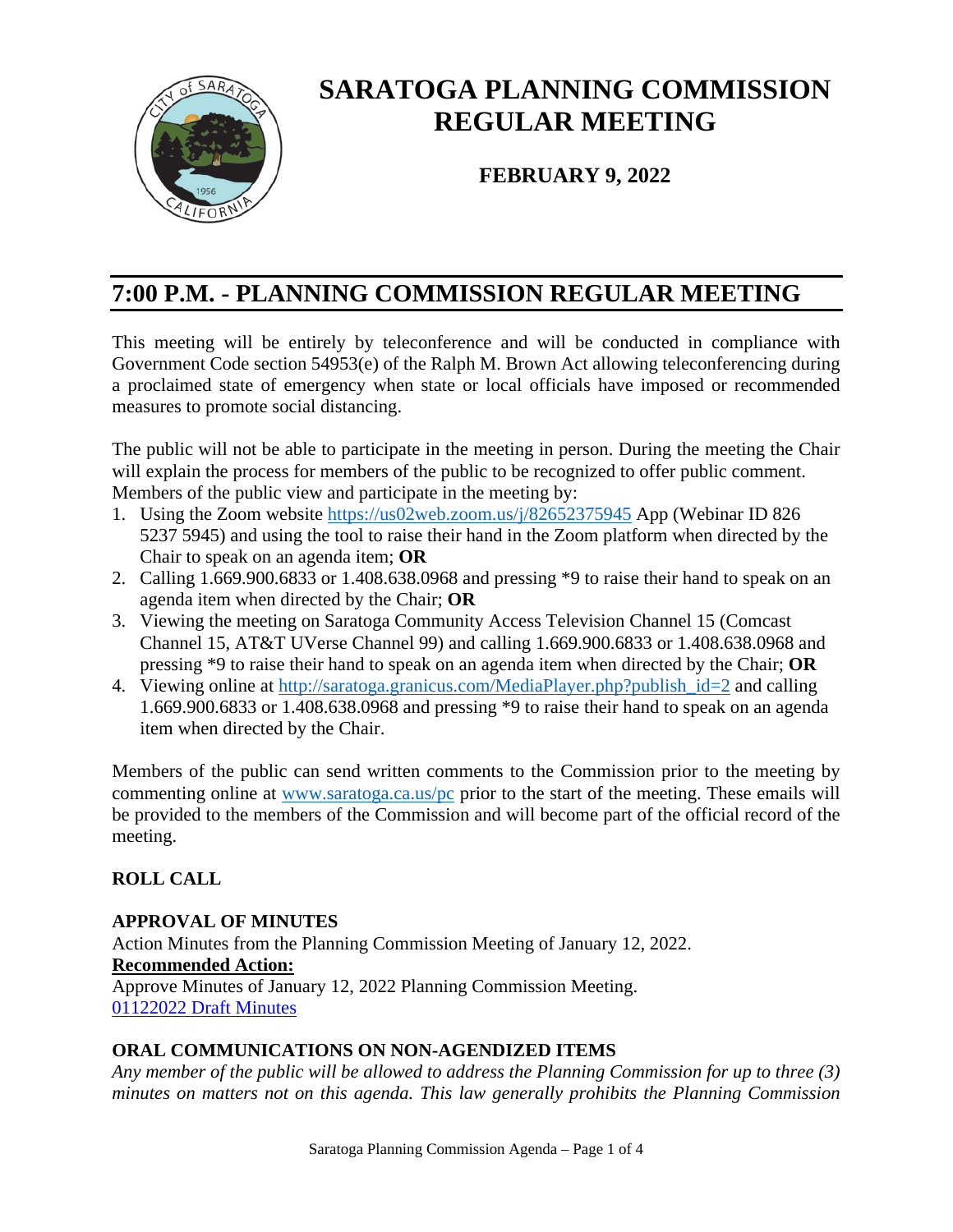

# **SARATOGA PLANNING COMMISSION REGULAR MEETING**

**FEBRUARY 9, 2022**

# **7:00 P.M. - PLANNING COMMISSION REGULAR MEETING**

This meeting will be entirely by teleconference and will be conducted in compliance with Government Code section 54953(e) of the Ralph M. Brown Act allowing teleconferencing during a proclaimed state of emergency when state or local officials have imposed or recommended measures to promote social distancing.

The public will not be able to participate in the meeting in person. During the meeting the Chair will explain the process for members of the public to be recognized to offer public comment. Members of the public view and participate in the meeting by:

- 1. Using the Zoom website <https://us02web.zoom.us/j/82652375945> App (Webinar ID 826 5237 5945) and using the tool to raise their hand in the Zoom platform when directed by the Chair to speak on an agenda item; **OR**
- 2. Calling 1.669.900.6833 or 1.408.638.0968 and pressing \*9 to raise their hand to speak on an agenda item when directed by the Chair; **OR**
- 3. Viewing the meeting on Saratoga Community Access Television Channel 15 (Comcast Channel 15, AT&T UVerse Channel 99) and calling 1.669.900.6833 or 1.408.638.0968 and pressing \*9 to raise their hand to speak on an agenda item when directed by the Chair; **OR**
- 4. Viewing online at http://saratoga.granicus.com/MediaPlayer.php?publish id=2 and calling 1.669.900.6833 or 1.408.638.0968 and pressing \*9 to raise their hand to speak on an agenda item when directed by the Chair.

Members of the public can send written comments to the Commission prior to the meeting by commenting online at [www.saratoga.ca.us/pc](http://www.saratoga.ca.us/pc) prior to the start of the meeting. These emails will be provided to the members of the Commission and will become part of the official record of the meeting.

## **ROLL CALL**

#### **APPROVAL OF MINUTES**

Action Minutes from the Planning Commission Meeting of January 12, 2022. **Recommended Action:** Approve Minutes of January 12, 2022 Planning Commission Meeting. [01122022 Draft Minutes](https://legistarweb-production.s3.amazonaws.com/uploads/attachment/pdf/1233368/01122022_PC_minutes_-_draft.pdf)

#### **ORAL COMMUNICATIONS ON NON-AGENDIZED ITEMS**

*Any member of the public will be allowed to address the Planning Commission for up to three (3) minutes on matters not on this agenda. This law generally prohibits the Planning Commission*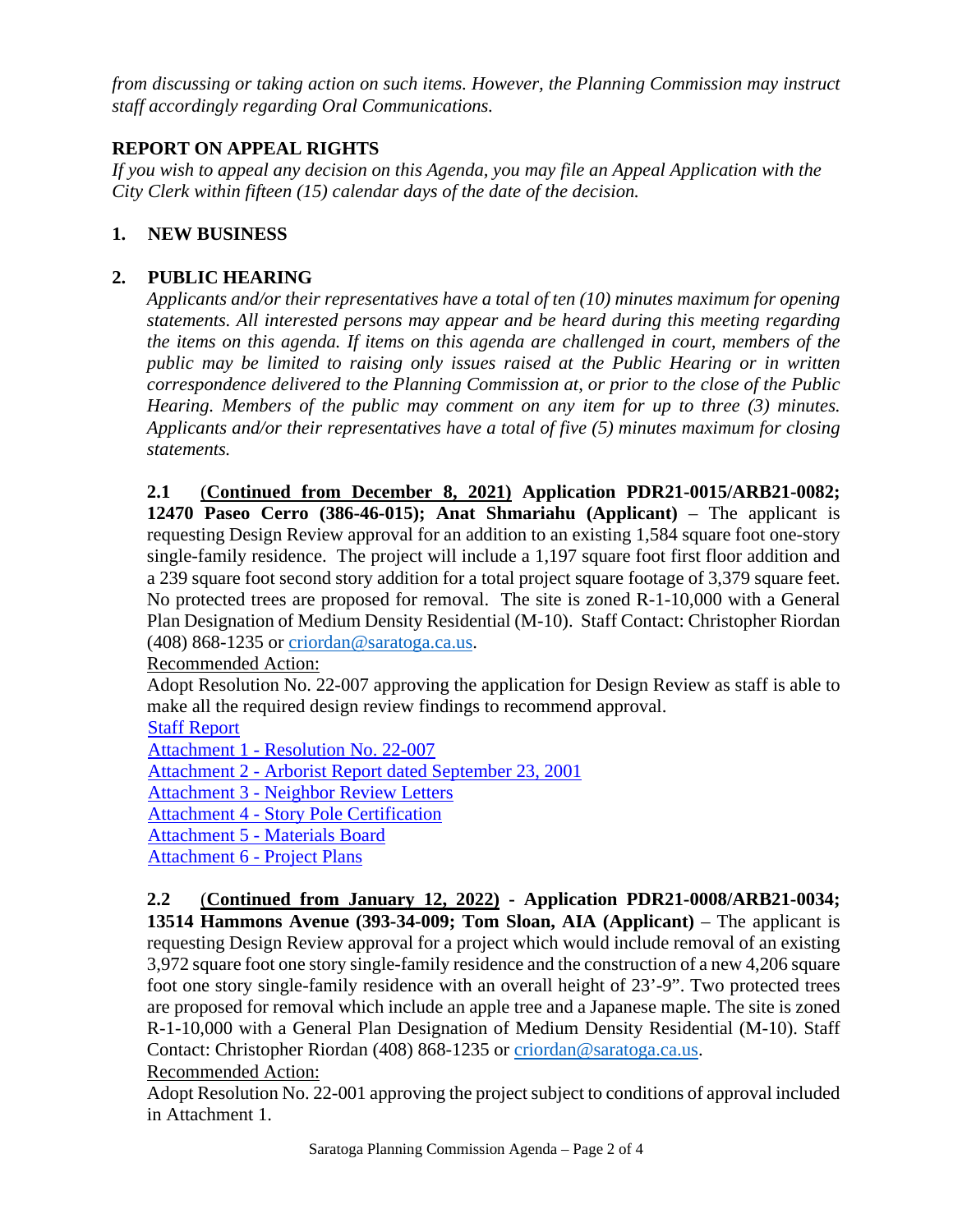*from discussing or taking action on such items. However, the Planning Commission may instruct staff accordingly regarding Oral Communications.* 

# **REPORT ON APPEAL RIGHTS**

*If you wish to appeal any decision on this Agenda, you may file an Appeal Application with the City Clerk within fifteen (15) calendar days of the date of the decision.* 

# **1. NEW BUSINESS**

# **2. PUBLIC HEARING**

*Applicants and/or their representatives have a total of ten (10) minutes maximum for opening statements. All interested persons may appear and be heard during this meeting regarding the items on this agenda. If items on this agenda are challenged in court, members of the public may be limited to raising only issues raised at the Public Hearing or in written correspondence delivered to the Planning Commission at, or prior to the close of the Public Hearing. Members of the public may comment on any item for up to three (3) minutes. Applicants and/or their representatives have a total of five (5) minutes maximum for closing statements.* 

**2.1** (**Continued from December 8, 2021) Application PDR21-0015/ARB21-0082; 12470 Paseo Cerro (386-46-015); Anat Shmariahu (Applicant)** – The applicant is requesting Design Review approval for an addition to an existing 1,584 square foot one-story single-family residence. The project will include a 1,197 square foot first floor addition and a 239 square foot second story addition for a total project square footage of 3,379 square feet. No protected trees are proposed for removal. The site is zoned R-1-10,000 with a General Plan Designation of Medium Density Residential (M-10). Staff Contact: Christopher Riordan  $(408)$  868-1235 or [criordan@saratoga.ca.us.](mailto:criordan@saratoga.ca.us)

Recommended Action:

Adopt Resolution No. 22-007 approving the application for Design Review as staff is able to make all the required design review findings to recommend approval.

[Staff Report](https://legistarweb-production.s3.amazonaws.com/uploads/attachment/pdf/1233404/Staff_Report_12470_Paseo_Cerro.pdf)

Attachment 1 - [Resolution No. 22-007](https://legistarweb-production.s3.amazonaws.com/uploads/attachment/pdf/1233398/Attachment_1_-_Resolution_No._22-007.pdf)

Attachment 2 - [Arborist Report dated September 23, 2001](https://legistarweb-production.s3.amazonaws.com/uploads/attachment/pdf/1232788/Attachment_2_-_Arborist_Report.pdf)

Attachment 3 - [Neighbor Review Letters](https://legistarweb-production.s3.amazonaws.com/uploads/attachment/pdf/1232791/Attachment_3_-_Neighbor_Review_Letters_Redacted.pdf)

Attachment 4 - [Story Pole Certification](https://legistarweb-production.s3.amazonaws.com/uploads/attachment/pdf/1232792/Attachment_4_-_Story_Pole_Certification..pdf)

Attachment 5 - [Materials Board](https://legistarweb-production.s3.amazonaws.com/uploads/attachment/pdf/1232793/Attachment_5_-_Materials_Board.pdf)

[Attachment 6 -](https://legistarweb-production.s3.amazonaws.com/uploads/attachment/pdf/1232794/Attachment_6_-_Project_Plans.pdf) Project Plans

**2.2** (**Continued from January 12, 2022) - Application PDR21-0008/ARB21-0034; 13514 Hammons Avenue (393-34-009; Tom Sloan, AIA (Applicant)** – The applicant is requesting Design Review approval for a project which would include removal of an existing 3,972 square foot one story single-family residence and the construction of a new 4,206 square foot one story single-family residence with an overall height of 23'-9". Two protected trees are proposed for removal which include an apple tree and a Japanese maple. The site is zoned R-1-10,000 with a General Plan Designation of Medium Density Residential (M-10). Staff Contact: Christopher Riordan (408) 868-1235 or [criordan@saratoga.ca.us.](mailto:criordan@saratoga.ca.us) Recommended Action:

Adopt Resolution No. 22-001 approving the project subject to conditions of approval included in Attachment 1.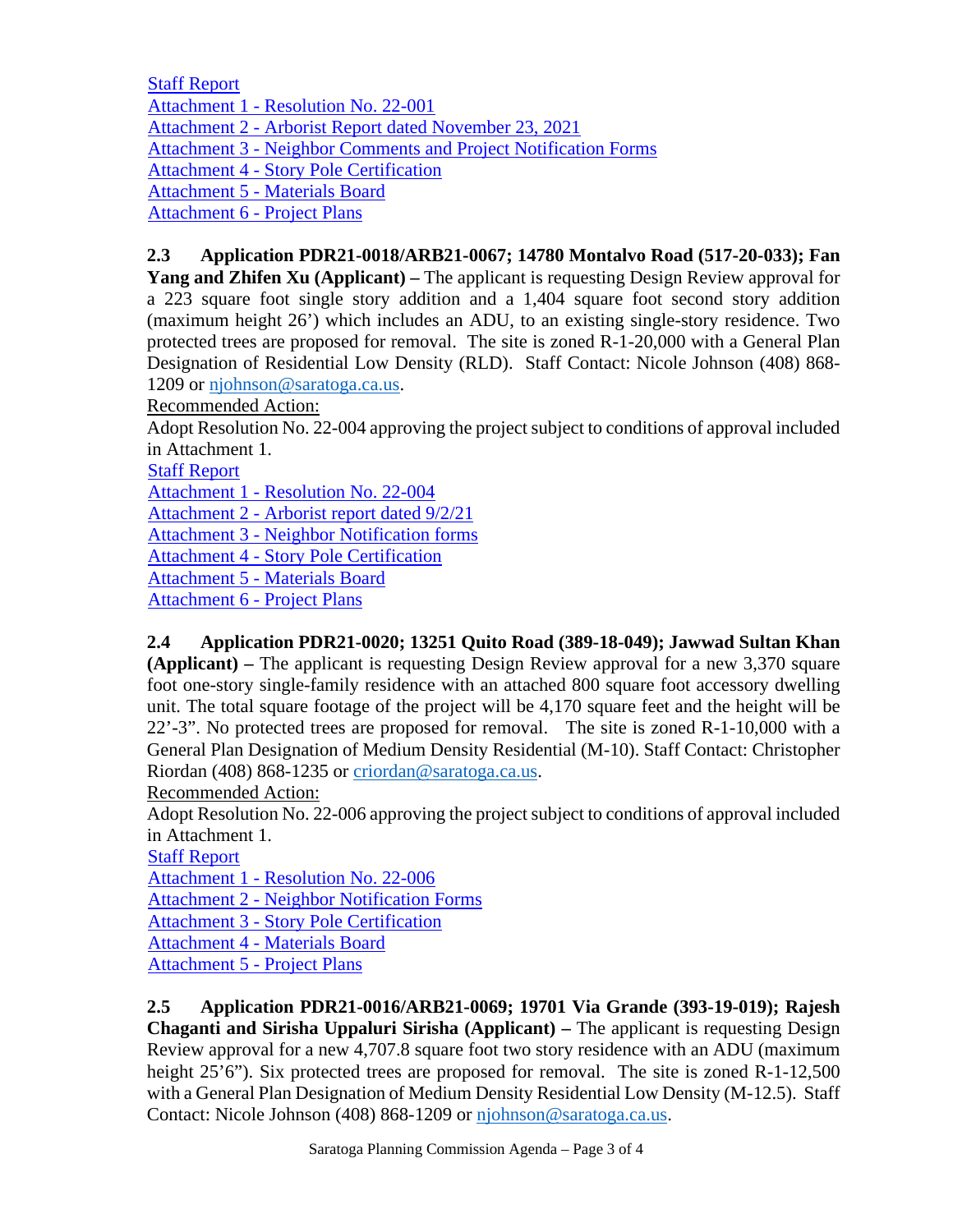[Staff Report](https://legistarweb-production.s3.amazonaws.com/uploads/attachment/pdf/1232811/Staff_Report_13514_Hammons_Avenue.pdf) 

Attachment 1 - [Resolution No. 22-001](https://legistarweb-production.s3.amazonaws.com/uploads/attachment/pdf/1232819/Attachment_1_-_Resolution_No._22-001.pdf)

Attachment 2 - [Arborist Report dated November 23, 2021](https://legistarweb-production.s3.amazonaws.com/uploads/attachment/pdf/1232820/Attachment_2_-_Arborist_Report.pdf)

Attachment 3 - [Neighbor Comments and Project Notification Forms](https://legistarweb-production.s3.amazonaws.com/uploads/attachment/pdf/1232822/Attachment_3_-_Neighbor_Notification_Forms_Redacted.pdf)

Attachment 4 - [Story Pole Certification](https://legistarweb-production.s3.amazonaws.com/uploads/attachment/pdf/1232823/Attachment_4_-_Story_Pole_Certification.pdf)

Attachment 5 - [Materials Board](https://legistarweb-production.s3.amazonaws.com/uploads/attachment/pdf/1232824/Attachment_5_-_Materials_Board.pdf)

[Attachment 6 -](https://legistarweb-production.s3.amazonaws.com/uploads/attachment/pdf/1232825/Attachment_6_-_Project_Plans.pdf) Project Plans

# **2.3 Application PDR21-0018/ARB21-0067; 14780 Montalvo Road (517-20-033); Fan**

**Yang and Zhifen Xu (Applicant) –** The applicant is requesting Design Review approval for a 223 square foot single story addition and a 1,404 square foot second story addition (maximum height 26') which includes an ADU, to an existing single-story residence. Two protected trees are proposed for removal. The site is zoned R-1-20,000 with a General Plan Designation of Residential Low Density (RLD). Staff Contact: Nicole Johnson (408) 868 1209 or [njohnson@saratoga.ca.us.](mailto:njohnson@saratoga.ca.us)

Recommended Action:

Adopt Resolution No. 22-004 approving the project subject to conditions of approval included in Attachment 1.

[Staff Report](https://legistarweb-production.s3.amazonaws.com/uploads/attachment/pdf/1230883/Staff_Report-Montalvo_Road_14780.pdf)

Attachment 1 - [Resolution No. 22-004](https://legistarweb-production.s3.amazonaws.com/uploads/attachment/pdf/1230884/Attachment_1_-_Resolution_22-004.pdf)

Attachment 2 - [Arborist report dated 9/2/21](https://legistarweb-production.s3.amazonaws.com/uploads/attachment/pdf/1234560/Attachment_2-Arborist_report_dated_09.02.2021.pdf)

Attachment 3 - [Neighbor Notification forms](https://legistarweb-production.s3.amazonaws.com/uploads/attachment/pdf/1234540/Attachment_3_-_Neighbor_Notification_forms_Redacted.pdf)

Attachment 4 - [Story Pole Certification](https://legistarweb-production.s3.amazonaws.com/uploads/attachment/pdf/1230886/Attachment_4-_Story_Pole_Certification.pdf)

Attachment 5 - [Materials Board](https://legistarweb-production.s3.amazonaws.com/uploads/attachment/pdf/1230887/Attachment_5-_Materials_Board.pdf)

[Attachment 6 -](https://legistarweb-production.s3.amazonaws.com/uploads/attachment/pdf/1230888/Attachment_6-Project_Plans.pdf) Project Plans

## **2.4 Application PDR21-0020; 13251 Quito Road (389-18-049); Jawwad Sultan Khan**

**(Applicant) –** The applicant is requesting Design Review approval for a new 3,370 square foot one-story single-family residence with an attached 800 square foot accessory dwelling unit. The total square footage of the project will be 4,170 square feet and the height will be 22'-3". No protected trees are proposed for removal. The site is zoned R-1-10,000 with a General Plan Designation of Medium Density Residential (M-10). Staff Contact: Christopher Riordan (408) 868-1235 or [criordan@saratoga.ca.us.](mailto:criordan@saratoga.ca.us)

Recommended Action:

Adopt Resolution No. 22-006 approving the project subject to conditions of approval included in Attachment 1.

[Staff Report](https://legistarweb-production.s3.amazonaws.com/uploads/attachment/pdf/1232854/Staff_Report_13251_Quito_Road.pdf)

Attachment 1 - [Resolution No. 22-006](https://legistarweb-production.s3.amazonaws.com/uploads/attachment/pdf/1232852/Attachment_1_-_Resolution_No._22-006.pdf)

Attachment 2 - [Neighbor Notification Forms](https://legistarweb-production.s3.amazonaws.com/uploads/attachment/pdf/1234726/Attachment_2_-_Neighbor_Notification_Forms_Redacted.pdf)

Attachment 3 - [Story Pole Certification](https://legistarweb-production.s3.amazonaws.com/uploads/attachment/pdf/1232864/Attachment_3_-_Story_Pole_Certification.pdf)

Attachment 4 - [Materials Board](https://legistarweb-production.s3.amazonaws.com/uploads/attachment/pdf/1232865/Attachment_4_-_Materials_Board.pdf)

[Attachment 5 -](https://legistarweb-production.s3.amazonaws.com/uploads/attachment/pdf/1232867/Attachment_5_-_Project_Plans.pdf) Project Plans

**2.5 Application PDR21-0016/ARB21-0069; 19701 Via Grande (393-19-019); Rajesh Chaganti and Sirisha Uppaluri Sirisha (Applicant) –** The applicant is requesting Design Review approval for a new 4,707.8 square foot two story residence with an ADU (maximum height 25'6"). Six protected trees are proposed for removal. The site is zoned R-1-12,500 with a General Plan Designation of Medium Density Residential Low Density (M-12.5). Staff Contact: Nicole Johnson (408) 868-1209 or [njohnson@saratoga.ca.us.](mailto:njohnson@saratoga.ca.us)